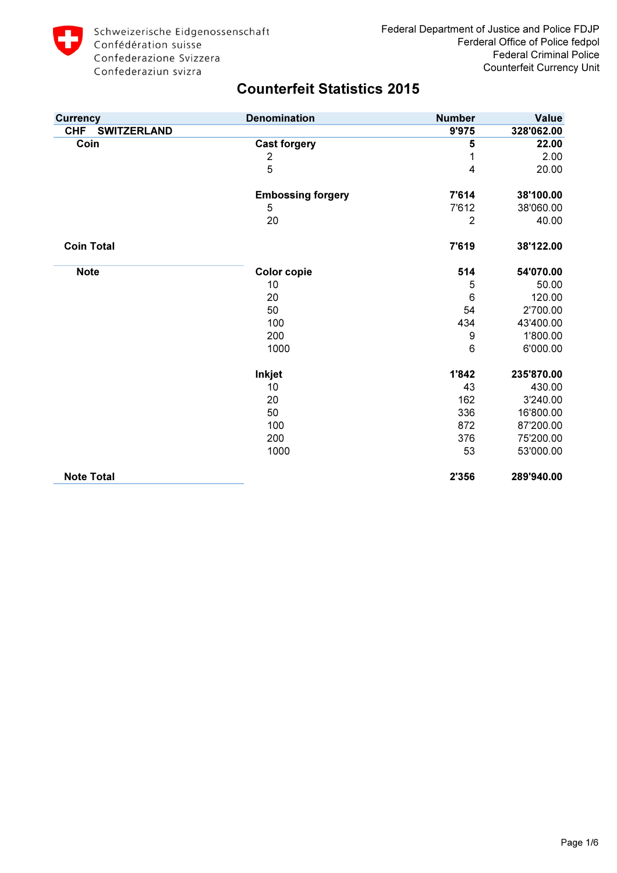

| <b>Currency</b>                  | <b>Denomination</b>      | <b>Number</b>  | <b>Value</b> |
|----------------------------------|--------------------------|----------------|--------------|
| <b>SWITZERLAND</b><br><b>CHF</b> |                          | 9'975          | 328'062.00   |
| Coin                             | <b>Cast forgery</b>      | 5              | 22.00        |
|                                  | 2                        | 1              | 2.00         |
|                                  | 5                        | 4              | 20.00        |
|                                  | <b>Embossing forgery</b> | 7'614          | 38'100.00    |
|                                  | 5                        | 7'612          | 38'060.00    |
|                                  | 20                       | $\overline{2}$ | 40.00        |
| <b>Coin Total</b>                |                          | 7'619          | 38'122.00    |
| <b>Note</b>                      | <b>Color copie</b>       | 514            | 54'070.00    |
|                                  | 10                       | 5              | 50.00        |
|                                  | 20                       | 6              | 120.00       |
|                                  | 50                       | 54             | 2'700.00     |
|                                  | 100                      | 434            | 43'400.00    |
|                                  | 200                      | 9              | 1'800.00     |
|                                  | 1000                     | 6              | 6'000.00     |
|                                  | <b>Inkjet</b>            | 1'842          | 235'870.00   |
|                                  | 10                       | 43             | 430.00       |
|                                  | 20                       | 162            | 3'240.00     |
|                                  | 50                       | 336            | 16'800.00    |
|                                  | 100                      | 872            | 87'200.00    |
|                                  | 200                      | 376            | 75'200.00    |
|                                  | 1000                     | 53             | 53'000.00    |
| <b>Note Total</b>                |                          | 2'356          | 289'940.00   |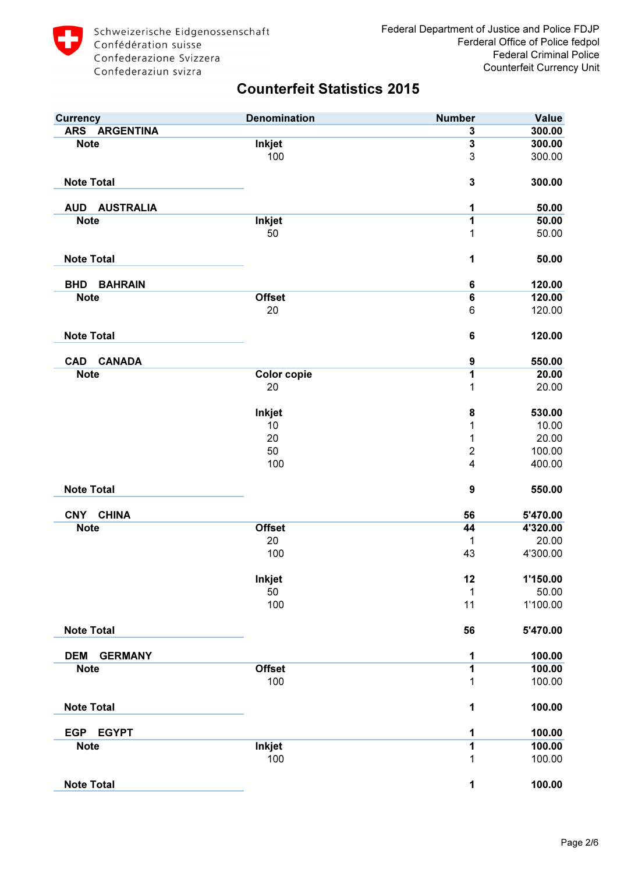| <b>Currency</b>                | <b>Denomination</b> | <b>Number</b>           | <b>Value</b> |
|--------------------------------|---------------------|-------------------------|--------------|
| ARS ARGENTINA                  |                     | 3                       | 300.00       |
| <b>Note</b>                    | Inkjet              | $\overline{\mathbf{3}}$ | 300.00       |
|                                | 100                 | 3                       | 300.00       |
| <b>Note Total</b>              |                     | $\mathbf 3$             | 300.00       |
| <b>AUD</b><br><b>AUSTRALIA</b> |                     | 1                       | 50.00        |
| <b>Note</b>                    | Inkjet              | 1                       | 50.00        |
|                                | 50                  | 1                       | 50.00        |
| <b>Note Total</b>              |                     | 1                       | 50.00        |
| <b>BHD</b><br><b>BAHRAIN</b>   |                     | $\bf 6$                 | 120.00       |
| <b>Note</b>                    | <b>Offset</b>       | $\bf 6$                 | 120.00       |
|                                | 20                  | 6                       | 120.00       |
| <b>Note Total</b>              |                     | 6                       | 120.00       |
| <b>CANADA</b><br><b>CAD</b>    |                     | $\boldsymbol{9}$        | 550.00       |
| <b>Note</b>                    | <b>Color copie</b>  | $\overline{\mathbf{1}}$ | 20.00        |
|                                | 20                  | 1                       | 20.00        |
|                                | <b>Inkjet</b>       | 8                       | 530.00       |
|                                | 10                  | 1                       | 10.00        |
|                                | 20                  | 1                       | 20.00        |
|                                | 50                  | $\overline{2}$          | 100.00       |
|                                | 100                 | 4                       | 400.00       |
| <b>Note Total</b>              |                     | 9                       | 550.00       |
| <b>CHINA</b><br><b>CNY</b>     |                     | 56                      | 5'470.00     |
| <b>Note</b>                    | <b>Offset</b>       | 44                      | 4'320.00     |
|                                | 20                  | 1                       | 20.00        |
|                                | 100                 | 43                      | 4'300.00     |
|                                | Inkjet              | 12                      | 1'150.00     |
|                                | 50                  | 1                       | 50.00        |
|                                | 100                 | 11                      | 1'100.00     |
| <b>Note Total</b>              |                     | 56                      | 5'470.00     |
| <b>DEM</b><br><b>GERMANY</b>   |                     | 1                       | 100.00       |
| <b>Note</b>                    | <b>Offset</b>       | $\overline{1}$          | 100.00       |
|                                | 100                 | 1                       | 100.00       |
| <b>Note Total</b>              |                     | 1                       | 100.00       |
| <b>EGP</b><br><b>EGYPT</b>     |                     | 1                       | 100.00       |
| <b>Note</b>                    | <b>Inkjet</b>       | 1                       | 100.00       |
|                                | 100                 | 1                       | 100.00       |
| <b>Note Total</b>              |                     | 1                       | 100.00       |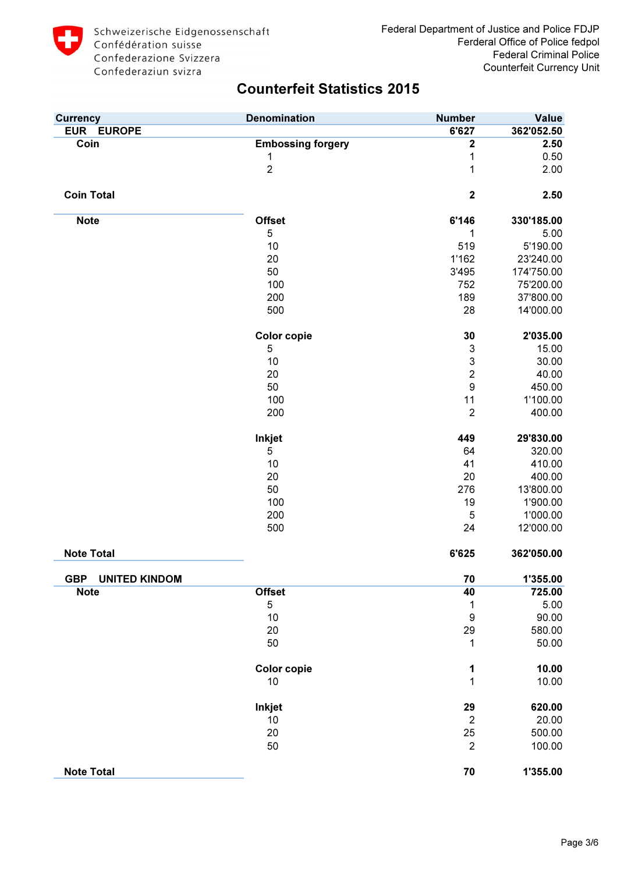

| <b>Currency</b>                    | <b>Denomination</b>      | <b>Number</b>             | <b>Value</b> |
|------------------------------------|--------------------------|---------------------------|--------------|
| <b>EUR EUROPE</b>                  |                          | 6'627                     | 362'052.50   |
| Coin                               | <b>Embossing forgery</b> | 2                         | 2.50         |
|                                    | 1                        | 1                         | 0.50         |
|                                    | $\overline{c}$           | 1                         | 2.00         |
| <b>Coin Total</b>                  |                          | $\mathbf 2$               | 2.50         |
|                                    |                          |                           |              |
| <b>Note</b>                        | <b>Offset</b>            | 6'146                     | 330'185.00   |
|                                    | 5                        | 1                         | 5.00         |
|                                    | 10                       | 519                       | 5'190.00     |
|                                    | 20                       | 1'162                     | 23'240.00    |
|                                    | 50                       | 3'495                     | 174'750.00   |
|                                    | 100                      | 752                       | 75'200.00    |
|                                    | 200                      | 189                       | 37'800.00    |
|                                    | 500                      | 28                        | 14'000.00    |
|                                    | <b>Color copie</b>       | 30                        | 2'035.00     |
|                                    | 5                        | $\ensuremath{\mathsf{3}}$ | 15.00        |
|                                    | 10                       | $\mathsf 3$               | 30.00        |
|                                    | 20                       | $\overline{2}$            | 40.00        |
|                                    | 50                       | $\boldsymbol{9}$          | 450.00       |
|                                    |                          |                           |              |
|                                    | 100                      | 11                        | 1'100.00     |
|                                    | 200                      | $\overline{2}$            | 400.00       |
|                                    | Inkjet                   | 449                       | 29'830.00    |
|                                    | 5                        | 64                        | 320.00       |
|                                    | 10                       | 41                        | 410.00       |
|                                    | 20                       | 20                        | 400.00       |
|                                    | 50                       | 276                       | 13'800.00    |
|                                    | 100                      | 19                        | 1'900.00     |
|                                    | 200                      | 5                         | 1'000.00     |
|                                    | 500                      | 24                        | 12'000.00    |
| <b>Note Total</b>                  |                          | 6'625                     | 362'050.00   |
|                                    |                          |                           |              |
| <b>GBP</b><br><b>UNITED KINDOM</b> |                          | 70                        | 1'355.00     |
| <b>Note</b>                        | <b>Offset</b>            | 40                        | 725.00       |
|                                    | 5                        | 1                         | 5.00         |
|                                    | 10                       | $\boldsymbol{9}$          | 90.00        |
|                                    | 20                       | 29                        | 580.00       |
|                                    | 50                       | 1                         | 50.00        |
|                                    | <b>Color copie</b>       | 1                         | 10.00        |
|                                    | 10                       | 1                         | 10.00        |
|                                    | Inkjet                   | 29                        | 620.00       |
|                                    | 10                       | $\overline{2}$            | 20.00        |
|                                    | 20                       | 25                        | 500.00       |
|                                    | 50                       | $\overline{2}$            | 100.00       |
| <b>Note Total</b>                  |                          | 70                        | 1'355.00     |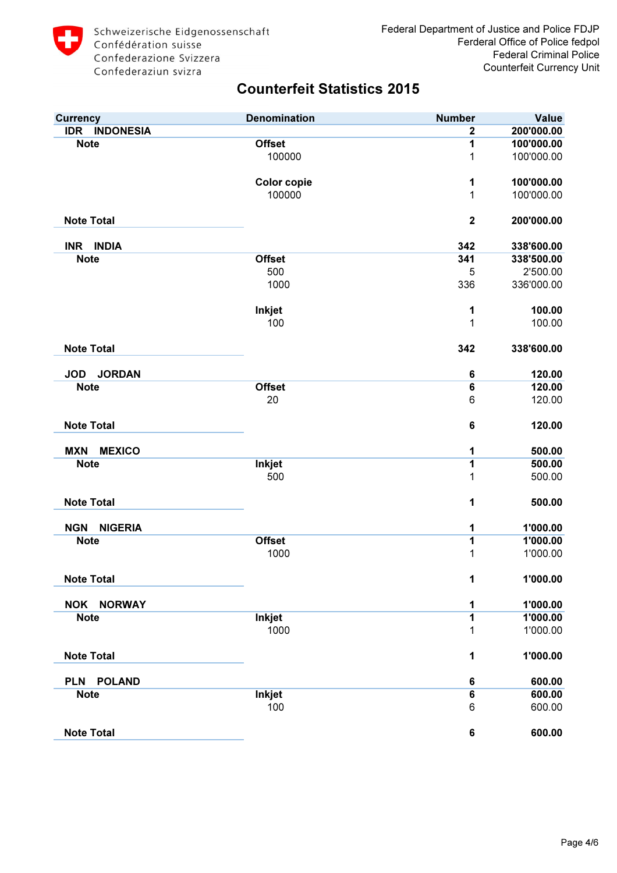

| <b>Currency</b>                | <b>Denomination</b> | <b>Number</b>           | <b>Value</b> |
|--------------------------------|---------------------|-------------------------|--------------|
| <b>INDONESIA</b><br><b>IDR</b> |                     | $\overline{\mathbf{2}}$ | 200'000.00   |
| <b>Note</b>                    | <b>Offset</b>       | 1                       | 100'000.00   |
|                                | 100000              | 1                       | 100'000.00   |
|                                | <b>Color copie</b>  | 1                       | 100'000.00   |
|                                | 100000              | 1                       | 100'000.00   |
| <b>Note Total</b>              |                     | $\mathbf 2$             | 200'000.00   |
| <b>INDIA</b><br><b>INR</b>     |                     | 342                     | 338'600.00   |
| <b>Note</b>                    | <b>Offset</b>       | 341                     | 338'500.00   |
|                                | 500                 | 5                       | 2'500.00     |
|                                | 1000                | 336                     | 336'000.00   |
|                                | Inkjet              | 1                       | 100.00       |
|                                | 100                 | 1                       | 100.00       |
| <b>Note Total</b>              |                     | 342                     | 338'600.00   |
| <b>JORDAN</b><br><b>JOD</b>    |                     | $\bf 6$                 | 120.00       |
| <b>Note</b>                    | <b>Offset</b>       | $6\overline{6}$         | 120.00       |
|                                | 20                  | 6                       | 120.00       |
| <b>Note Total</b>              |                     | 6                       | 120.00       |
| <b>MEXICO</b><br><b>MXN</b>    |                     | 1                       | 500.00       |
| <b>Note</b>                    | Inkjet              | 1                       | 500.00       |
|                                | 500                 | 1                       | 500.00       |
| <b>Note Total</b>              |                     | 1                       | 500.00       |
| <b>NIGERIA</b><br><b>NGN</b>   |                     | 1                       | 1'000.00     |
| <b>Note</b>                    | <b>Offset</b>       | 1                       | 1'000.00     |
|                                | 1000                | 1                       | 1'000.00     |
| <b>Note Total</b>              |                     | 1                       | 1'000.00     |
| <b>NOK</b><br><b>NORWAY</b>    |                     | 1                       | 1'000.00     |
| <b>Note</b>                    | <b>Inkjet</b>       | 1                       | 1'000.00     |
|                                | 1000                | 1                       | 1'000.00     |
| <b>Note Total</b>              |                     | 1                       | 1'000.00     |
| <b>POLAND</b><br><b>PLN</b>    |                     | 6                       | 600.00       |
| <b>Note</b>                    | <b>Inkjet</b>       | $6\overline{6}$         | 600.00       |
|                                | 100                 | 6                       | 600.00       |
| <b>Note Total</b>              |                     | $\bf 6$                 | 600.00       |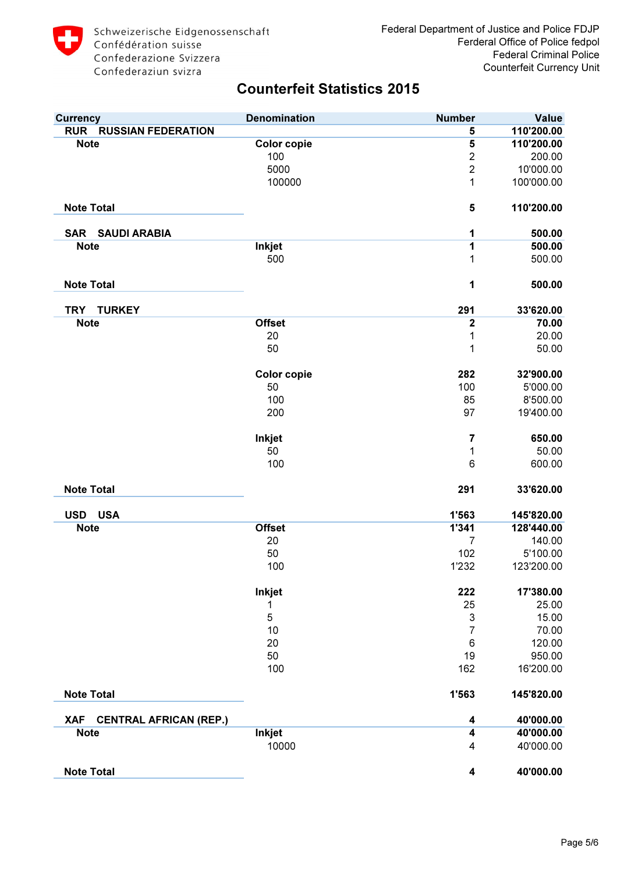| <b>Currency</b>                             | <b>Denomination</b> | <b>Number</b>             | <b>Value</b> |
|---------------------------------------------|---------------------|---------------------------|--------------|
| <b>RUR</b><br><b>RUSSIAN FEDERATION</b>     |                     | 5                         | 110'200.00   |
| <b>Note</b>                                 | <b>Color copie</b>  | $\overline{\mathbf{5}}$   | 110'200.00   |
|                                             | 100                 | $\overline{2}$            | 200.00       |
|                                             | 5000                | $\overline{2}$            | 10'000.00    |
|                                             | 100000              | $\mathbf{1}$              | 100'000.00   |
| <b>Note Total</b>                           |                     | 5                         | 110'200.00   |
| <b>SAR SAUDI ARABIA</b>                     |                     | 1                         | 500.00       |
| <b>Note</b>                                 | <b>Inkjet</b>       | 1                         | 500.00       |
|                                             | 500                 | 1                         | 500.00       |
| <b>Note Total</b>                           |                     | 1                         | 500.00       |
| <b>TURKEY</b><br><b>TRY</b>                 |                     | 291                       | 33'620.00    |
| <b>Note</b>                                 | <b>Offset</b>       | $\mathbf 2$               | 70.00        |
|                                             | 20                  | 1                         | 20.00        |
|                                             | 50                  | 1                         | 50.00        |
|                                             | <b>Color copie</b>  | 282                       | 32'900.00    |
|                                             | 50                  | 100                       | 5'000.00     |
|                                             | 100                 | 85                        | 8'500.00     |
|                                             | 200                 | 97                        | 19'400.00    |
|                                             | Inkjet              | $\overline{\mathbf{7}}$   | 650.00       |
|                                             | 50                  | 1                         | 50.00        |
|                                             | 100                 | 6                         | 600.00       |
| <b>Note Total</b>                           |                     | 291                       | 33'620.00    |
| USD USA                                     |                     | 1'563                     | 145'820.00   |
| <b>Note</b>                                 | <b>Offset</b>       | 1'341                     | 128'440.00   |
|                                             | 20                  | 7                         | 140.00       |
|                                             | 50                  | 102                       | 5'100.00     |
|                                             | 100                 | 1'232                     | 123'200.00   |
|                                             | Inkjet              | 222                       | 17'380.00    |
|                                             | 1                   | 25                        | 25.00        |
|                                             | 5                   | $\ensuremath{\mathsf{3}}$ | 15.00        |
|                                             | 10                  | $\overline{7}$            | 70.00        |
|                                             | 20                  | 6                         | 120.00       |
|                                             | 50                  | 19                        | 950.00       |
|                                             | 100                 | 162                       | 16'200.00    |
| <b>Note Total</b>                           |                     | 1'563                     | 145'820.00   |
| <b>CENTRAL AFRICAN (REP.)</b><br><b>XAF</b> |                     | 4                         | 40'000.00    |
| <b>Note</b>                                 | Inkjet              | $\overline{\mathbf{4}}$   | 40'000.00    |
|                                             | 10000               | 4                         | 40'000.00    |
| <b>Note Total</b>                           |                     | 4                         | 40'000.00    |